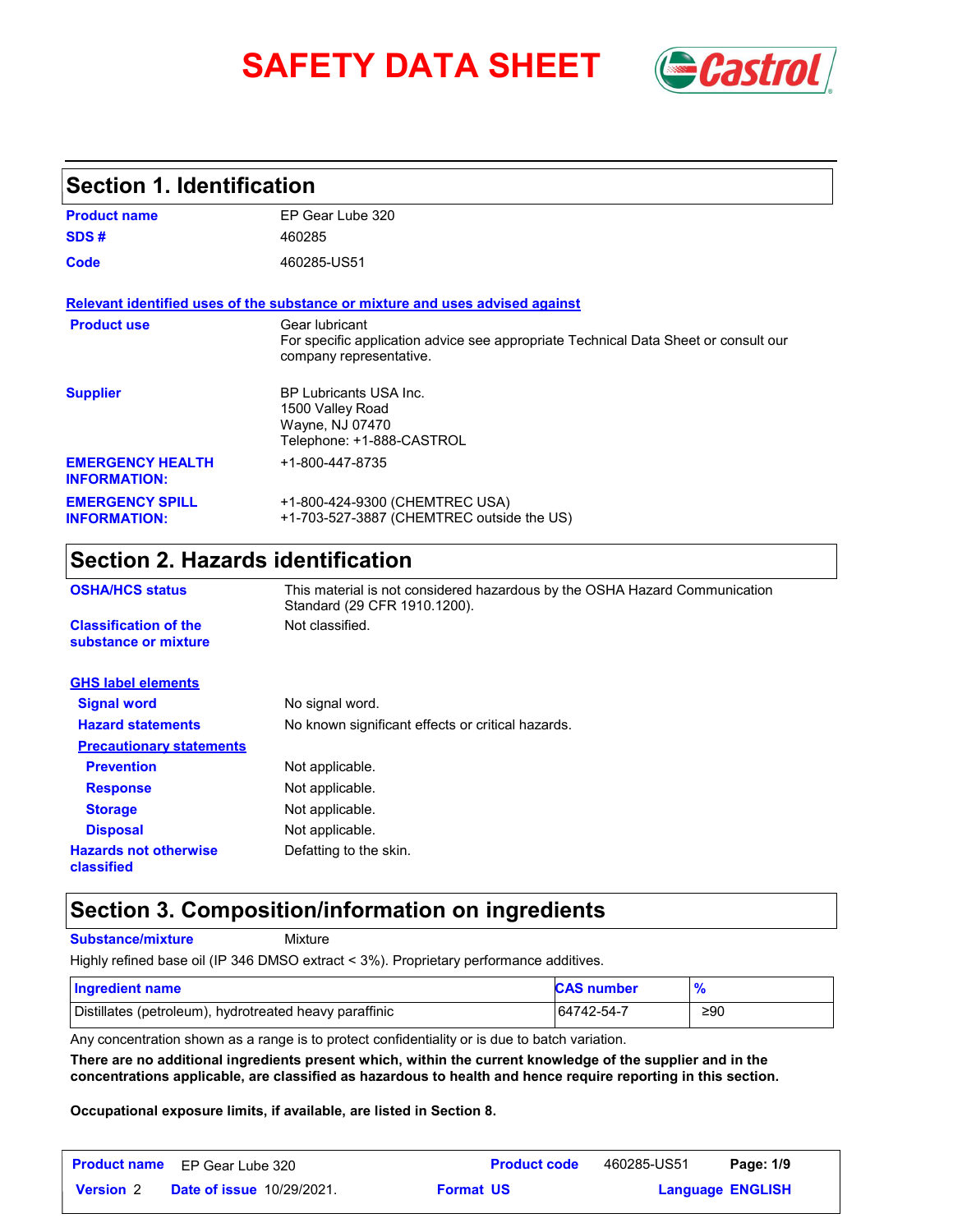# **SAFETY DATA SHEET** *Castrol*



### **Section 1. Identification**

| <b>Product name</b>                            | EP Gear Lube 320                                                                                                                 |  |  |
|------------------------------------------------|----------------------------------------------------------------------------------------------------------------------------------|--|--|
| SDS#                                           | 460285                                                                                                                           |  |  |
| Code                                           | 460285-US51                                                                                                                      |  |  |
|                                                | Relevant identified uses of the substance or mixture and uses advised against                                                    |  |  |
| <b>Product use</b>                             | Gear lubricant<br>For specific application advice see appropriate Technical Data Sheet or consult our<br>company representative. |  |  |
| <b>Supplier</b>                                | <b>BP Lubricants USA Inc.</b><br>1500 Valley Road<br>Wayne, NJ 07470<br>Telephone: +1-888-CASTROL                                |  |  |
| <b>EMERGENCY HEALTH</b><br><b>INFORMATION:</b> | +1-800-447-8735                                                                                                                  |  |  |
| <b>EMERGENCY SPILL</b><br><b>INFORMATION:</b>  | +1-800-424-9300 (CHEMTREC USA)<br>+1-703-527-3887 (CHEMTREC outside the US)                                                      |  |  |

### **Section 2. Hazards identification**

| <b>OSHA/HCS status</b>                               | This material is not considered hazardous by the OSHA Hazard Communication<br>Standard (29 CFR 1910.1200). |
|------------------------------------------------------|------------------------------------------------------------------------------------------------------------|
| <b>Classification of the</b><br>substance or mixture | Not classified.                                                                                            |
| <b>GHS label elements</b>                            |                                                                                                            |
| <b>Signal word</b>                                   | No signal word.                                                                                            |
| <b>Hazard statements</b>                             | No known significant effects or critical hazards.                                                          |
| <b>Precautionary statements</b>                      |                                                                                                            |
| <b>Prevention</b>                                    | Not applicable.                                                                                            |
| <b>Response</b>                                      | Not applicable.                                                                                            |
| <b>Storage</b>                                       | Not applicable.                                                                                            |
| <b>Disposal</b>                                      | Not applicable.                                                                                            |
| <b>Hazards not otherwise</b><br>classified           | Defatting to the skin.                                                                                     |

### **Section 3. Composition/information on ingredients**

**Substance/mixture**

Mixture

Highly refined base oil (IP 346 DMSO extract < 3%). Proprietary performance additives.

| <b>Ingredient name</b>                                 | <b>CAS number</b> |     |
|--------------------------------------------------------|-------------------|-----|
| Distillates (petroleum), hydrotreated heavy paraffinic | 64742-54-7        | ≥90 |

Any concentration shown as a range is to protect confidentiality or is due to batch variation.

**There are no additional ingredients present which, within the current knowledge of the supplier and in the concentrations applicable, are classified as hazardous to health and hence require reporting in this section.**

**Occupational exposure limits, if available, are listed in Section 8.**

|                  | <b>Product name</b> EP Gear Lube 320 |                  | <b>Product code</b> | 460285-US51 | Page: 1/9               |  |
|------------------|--------------------------------------|------------------|---------------------|-------------|-------------------------|--|
| <b>Version 2</b> | <b>Date of issue 10/29/2021.</b>     | <b>Format US</b> |                     |             | <b>Language ENGLISH</b> |  |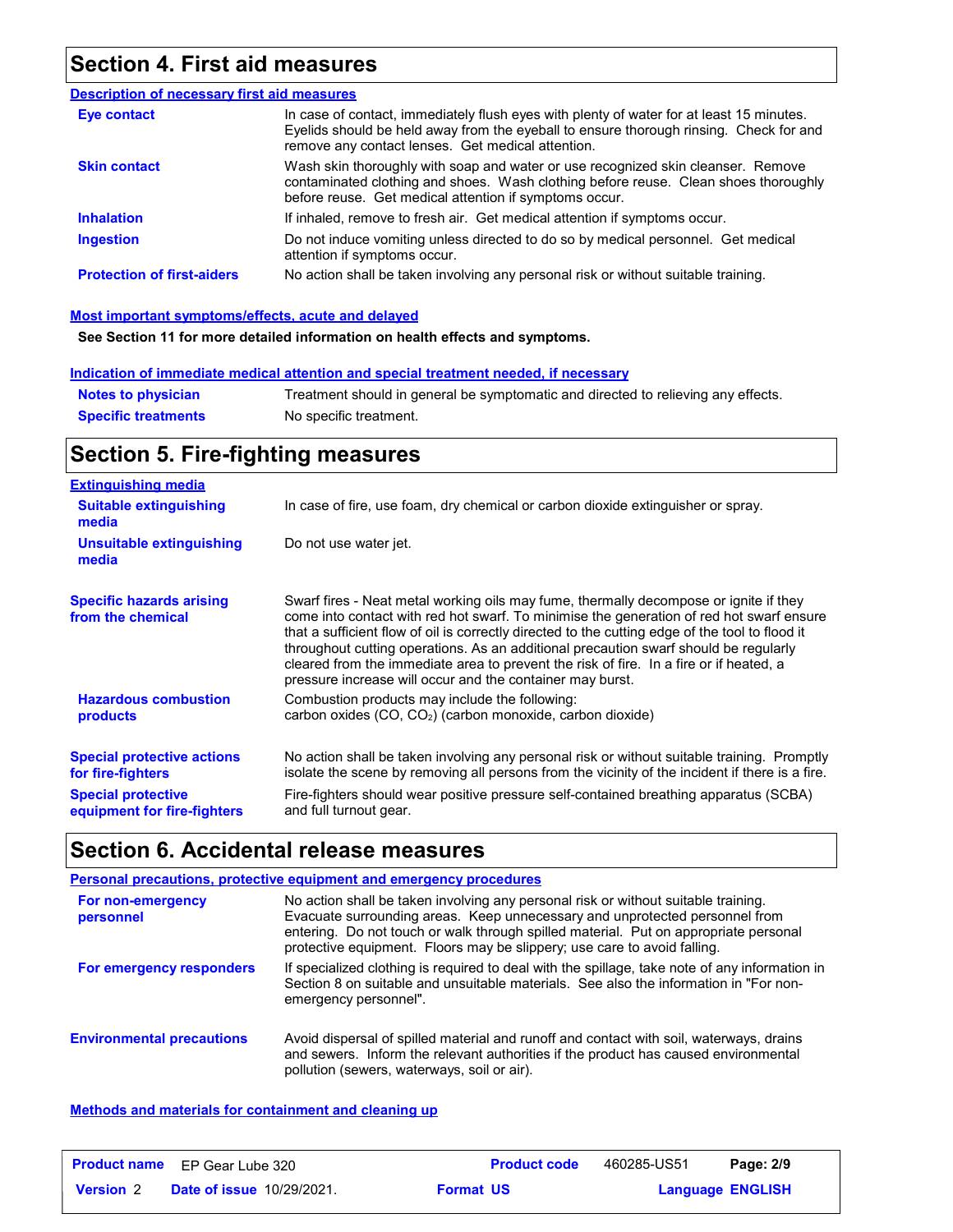### **Section 4. First aid measures**

| <b>Description of necessary first aid measures</b> |                                                                                                                                                                                                                                         |
|----------------------------------------------------|-----------------------------------------------------------------------------------------------------------------------------------------------------------------------------------------------------------------------------------------|
| Eye contact                                        | In case of contact, immediately flush eyes with plenty of water for at least 15 minutes.<br>Eyelids should be held away from the eyeball to ensure thorough rinsing. Check for and<br>remove any contact lenses. Get medical attention. |
| <b>Skin contact</b>                                | Wash skin thoroughly with soap and water or use recognized skin cleanser. Remove<br>contaminated clothing and shoes. Wash clothing before reuse. Clean shoes thoroughly<br>before reuse. Get medical attention if symptoms occur.       |
| <b>Inhalation</b>                                  | If inhaled, remove to fresh air. Get medical attention if symptoms occur.                                                                                                                                                               |
| <b>Ingestion</b>                                   | Do not induce vomiting unless directed to do so by medical personnel. Get medical<br>attention if symptoms occur.                                                                                                                       |
| <b>Protection of first-aiders</b>                  | No action shall be taken involving any personal risk or without suitable training.                                                                                                                                                      |

#### **Most important symptoms/effects, acute and delayed**

**See Section 11 for more detailed information on health effects and symptoms.**

#### **Indication of immediate medical attention and special treatment needed, if necessary**

| <b>Notes to physician</b>  | Treatment should in general be symptomatic and directed to relieving any effects. |
|----------------------------|-----------------------------------------------------------------------------------|
| <b>Specific treatments</b> | No specific treatment.                                                            |

## **Section 5. Fire-fighting measures**

| <b>Extinguishing media</b>                                                                                         |                                                                                                                                                                                                                                                                                                                                                                                                                                                                                                                                     |
|--------------------------------------------------------------------------------------------------------------------|-------------------------------------------------------------------------------------------------------------------------------------------------------------------------------------------------------------------------------------------------------------------------------------------------------------------------------------------------------------------------------------------------------------------------------------------------------------------------------------------------------------------------------------|
| <b>Suitable extinguishing</b><br>media                                                                             | In case of fire, use foam, dry chemical or carbon dioxide extinguisher or spray.                                                                                                                                                                                                                                                                                                                                                                                                                                                    |
| Unsuitable extinguishing<br>media                                                                                  | Do not use water jet.                                                                                                                                                                                                                                                                                                                                                                                                                                                                                                               |
| <b>Specific hazards arising</b><br>from the chemical                                                               | Swarf fires - Neat metal working oils may fume, thermally decompose or ignite if they<br>come into contact with red hot swarf. To minimise the generation of red hot swarf ensure<br>that a sufficient flow of oil is correctly directed to the cutting edge of the tool to flood it<br>throughout cutting operations. As an additional precaution swarf should be regularly<br>cleared from the immediate area to prevent the risk of fire. In a fire or if heated, a<br>pressure increase will occur and the container may burst. |
| <b>Hazardous combustion</b><br>products                                                                            | Combustion products may include the following:<br>carbon oxides (CO, CO <sub>2</sub> ) (carbon monoxide, carbon dioxide)                                                                                                                                                                                                                                                                                                                                                                                                            |
| <b>Special protective actions</b><br>for fire-fighters<br><b>Special protective</b><br>equipment for fire-fighters | No action shall be taken involving any personal risk or without suitable training. Promptly<br>isolate the scene by removing all persons from the vicinity of the incident if there is a fire.<br>Fire-fighters should wear positive pressure self-contained breathing apparatus (SCBA)<br>and full turnout gear.                                                                                                                                                                                                                   |

### **Section 6. Accidental release measures**

|                                  | Personal precautions, protective equipment and emergency procedures                                                                                                                                                                                                                                                                   |
|----------------------------------|---------------------------------------------------------------------------------------------------------------------------------------------------------------------------------------------------------------------------------------------------------------------------------------------------------------------------------------|
| For non-emergency<br>personnel   | No action shall be taken involving any personal risk or without suitable training.<br>Evacuate surrounding areas. Keep unnecessary and unprotected personnel from<br>entering. Do not touch or walk through spilled material. Put on appropriate personal<br>protective equipment. Floors may be slippery; use care to avoid falling. |
| For emergency responders         | If specialized clothing is required to deal with the spillage, take note of any information in<br>Section 8 on suitable and unsuitable materials. See also the information in "For non-<br>emergency personnel".                                                                                                                      |
| <b>Environmental precautions</b> | Avoid dispersal of spilled material and runoff and contact with soil, waterways, drains<br>and sewers. Inform the relevant authorities if the product has caused environmental<br>pollution (sewers, waterways, soil or air).                                                                                                         |

#### **Methods and materials for containment and cleaning up**

|                  | <b>Product name</b> EP Gear Lube 320 | <b>Product code</b> | 460285-US51 | Page: 2/9               |
|------------------|--------------------------------------|---------------------|-------------|-------------------------|
| <b>Version</b> 2 | <b>Date of issue 10/29/2021.</b>     | <b>Format US</b>    |             | <b>Language ENGLISH</b> |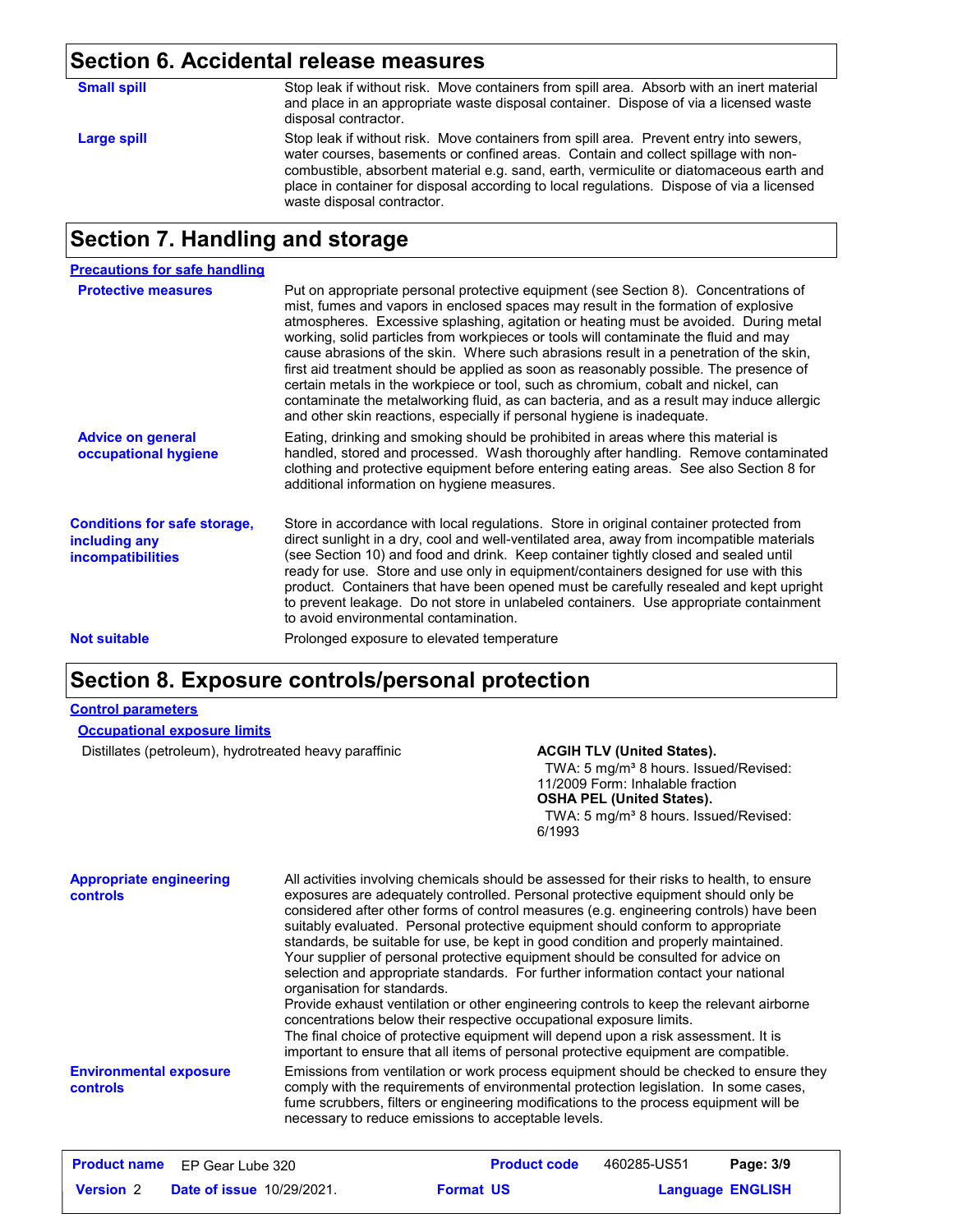### **Section 6. Accidental release measures**

| <b>Small spill</b> | Stop leak if without risk. Move containers from spill area. Absorb with an inert material<br>and place in an appropriate waste disposal container. Dispose of via a licensed waste<br>disposal contractor.                                                                                                                                                                                         |
|--------------------|----------------------------------------------------------------------------------------------------------------------------------------------------------------------------------------------------------------------------------------------------------------------------------------------------------------------------------------------------------------------------------------------------|
| Large spill        | Stop leak if without risk. Move containers from spill area. Prevent entry into sewers,<br>water courses, basements or confined areas. Contain and collect spillage with non-<br>combustible, absorbent material e.g. sand, earth, vermiculite or diatomaceous earth and<br>place in container for disposal according to local regulations. Dispose of via a licensed<br>waste disposal contractor. |

### **Section 7. Handling and storage**

| <b>Precautions for safe handling</b>                                             |                                                                                                                                                                                                                                                                                                                                                                                                                                                                                                                                                                                                                                                                                                                                                                                                          |
|----------------------------------------------------------------------------------|----------------------------------------------------------------------------------------------------------------------------------------------------------------------------------------------------------------------------------------------------------------------------------------------------------------------------------------------------------------------------------------------------------------------------------------------------------------------------------------------------------------------------------------------------------------------------------------------------------------------------------------------------------------------------------------------------------------------------------------------------------------------------------------------------------|
| <b>Protective measures</b>                                                       | Put on appropriate personal protective equipment (see Section 8). Concentrations of<br>mist, fumes and vapors in enclosed spaces may result in the formation of explosive<br>atmospheres. Excessive splashing, agitation or heating must be avoided. During metal<br>working, solid particles from workpieces or tools will contaminate the fluid and may<br>cause abrasions of the skin. Where such abrasions result in a penetration of the skin,<br>first aid treatment should be applied as soon as reasonably possible. The presence of<br>certain metals in the workpiece or tool, such as chromium, cobalt and nickel, can<br>contaminate the metalworking fluid, as can bacteria, and as a result may induce allergic<br>and other skin reactions, especially if personal hygiene is inadequate. |
| <b>Advice on general</b><br>occupational hygiene                                 | Eating, drinking and smoking should be prohibited in areas where this material is<br>handled, stored and processed. Wash thoroughly after handling. Remove contaminated<br>clothing and protective equipment before entering eating areas. See also Section 8 for<br>additional information on hygiene measures.                                                                                                                                                                                                                                                                                                                                                                                                                                                                                         |
| <b>Conditions for safe storage,</b><br>including any<br><i>incompatibilities</i> | Store in accordance with local regulations. Store in original container protected from<br>direct sunlight in a dry, cool and well-ventilated area, away from incompatible materials<br>(see Section 10) and food and drink. Keep container tightly closed and sealed until<br>ready for use. Store and use only in equipment/containers designed for use with this<br>product. Containers that have been opened must be carefully resealed and kept upright<br>to prevent leakage. Do not store in unlabeled containers. Use appropriate containment<br>to avoid environmental contamination.                                                                                                                                                                                                            |
| <b>Not suitable</b>                                                              | Prolonged exposure to elevated temperature                                                                                                                                                                                                                                                                                                                                                                                                                                                                                                                                                                                                                                                                                                                                                               |

### **Section 8. Exposure controls/personal protection**

#### **Control parameters**

Distillates (petroleum), hydrotreated heavy paraffinic **ACGIH TLV (United States).** 

TWA: 5 mg/m<sup>3</sup> 8 hours. Issued/Revised: 11/2009 Form: Inhalable fraction **OSHA PEL (United States).**

TWA: 5 mg/m<sup>3</sup> 8 hours. Issued/Revised: 6/1993

| <b>Appropriate engineering</b><br>controls | All activities involving chemicals should be assessed for their risks to health, to ensure<br>exposures are adequately controlled. Personal protective equipment should only be<br>considered after other forms of control measures (e.g. engineering controls) have been<br>suitably evaluated. Personal protective equipment should conform to appropriate<br>standards, be suitable for use, be kept in good condition and properly maintained.<br>Your supplier of personal protective equipment should be consulted for advice on<br>selection and appropriate standards. For further information contact your national<br>organisation for standards.<br>Provide exhaust ventilation or other engineering controls to keep the relevant airborne<br>concentrations below their respective occupational exposure limits.<br>The final choice of protective equipment will depend upon a risk assessment. It is<br>important to ensure that all items of personal protective equipment are compatible. |
|--------------------------------------------|------------------------------------------------------------------------------------------------------------------------------------------------------------------------------------------------------------------------------------------------------------------------------------------------------------------------------------------------------------------------------------------------------------------------------------------------------------------------------------------------------------------------------------------------------------------------------------------------------------------------------------------------------------------------------------------------------------------------------------------------------------------------------------------------------------------------------------------------------------------------------------------------------------------------------------------------------------------------------------------------------------|
| <b>Environmental exposure</b><br>controls  | Emissions from ventilation or work process equipment should be checked to ensure they<br>comply with the requirements of environmental protection legislation. In some cases,<br>fume scrubbers, filters or engineering modifications to the process equipment will be<br>necessary to reduce emissions to acceptable levels.                                                                                                                                                                                                                                                                                                                                                                                                                                                                                                                                                                                                                                                                              |

|                  | <b>Product name</b> EP Gear Lube 320 |                  | <b>Product code</b> | 460285-US51 | Page: 3/9               |
|------------------|--------------------------------------|------------------|---------------------|-------------|-------------------------|
| <b>Version 2</b> | <b>Date of issue 10/29/2021.</b>     | <b>Format US</b> |                     |             | <b>Language ENGLISH</b> |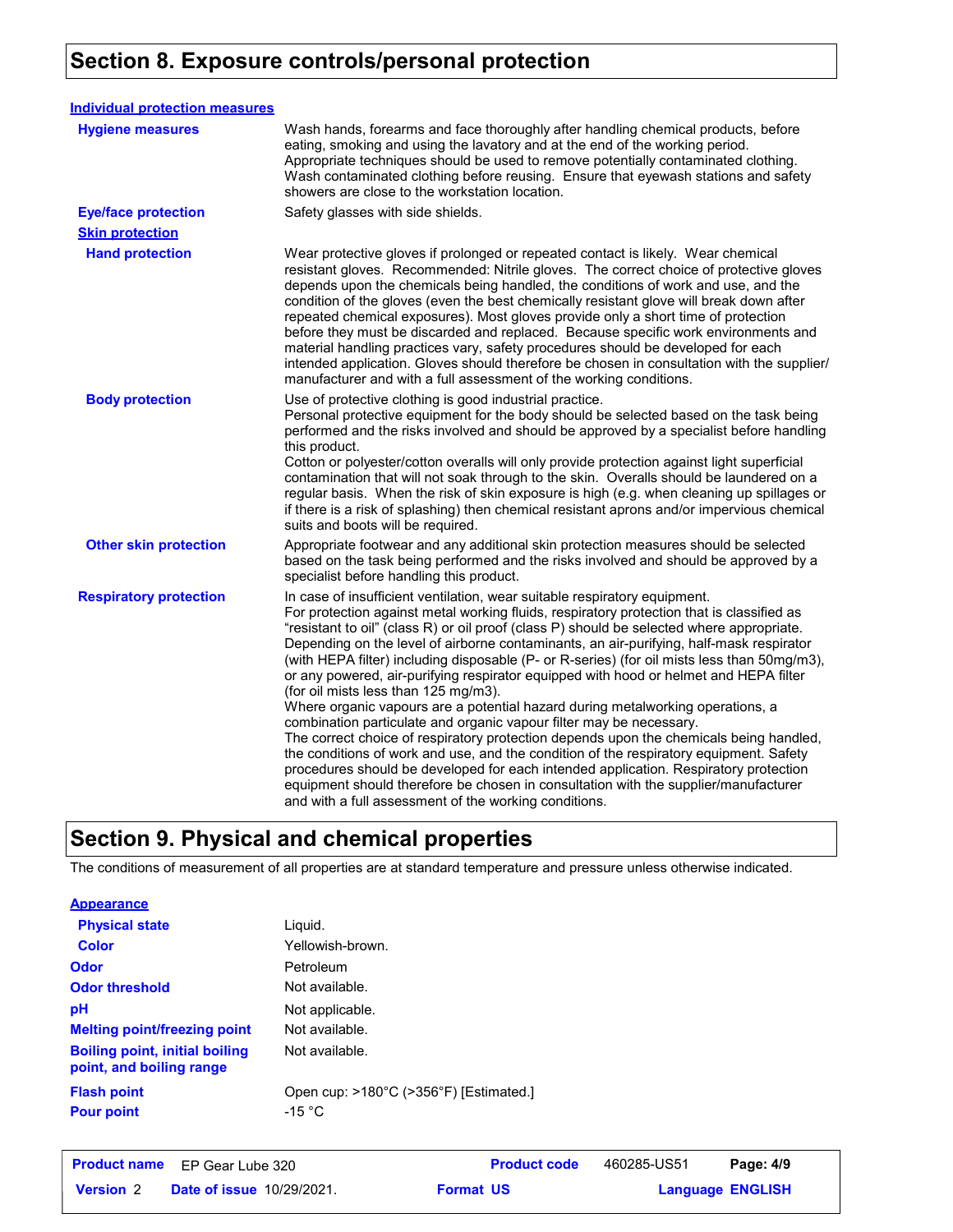## **Section 8. Exposure controls/personal protection**

| <b>Individual protection measures</b> |                                                                                                                                                                                                                                                                                                                                                                                                                                                                                                                                                                                                                                                                                                                                                                                                                                                                                                                                                                                                                                                                                                                                                                                     |
|---------------------------------------|-------------------------------------------------------------------------------------------------------------------------------------------------------------------------------------------------------------------------------------------------------------------------------------------------------------------------------------------------------------------------------------------------------------------------------------------------------------------------------------------------------------------------------------------------------------------------------------------------------------------------------------------------------------------------------------------------------------------------------------------------------------------------------------------------------------------------------------------------------------------------------------------------------------------------------------------------------------------------------------------------------------------------------------------------------------------------------------------------------------------------------------------------------------------------------------|
| <b>Hygiene measures</b>               | Wash hands, forearms and face thoroughly after handling chemical products, before<br>eating, smoking and using the lavatory and at the end of the working period.<br>Appropriate techniques should be used to remove potentially contaminated clothing.<br>Wash contaminated clothing before reusing. Ensure that eyewash stations and safety<br>showers are close to the workstation location.                                                                                                                                                                                                                                                                                                                                                                                                                                                                                                                                                                                                                                                                                                                                                                                     |
| <b>Eye/face protection</b>            | Safety glasses with side shields.                                                                                                                                                                                                                                                                                                                                                                                                                                                                                                                                                                                                                                                                                                                                                                                                                                                                                                                                                                                                                                                                                                                                                   |
| <b>Skin protection</b>                |                                                                                                                                                                                                                                                                                                                                                                                                                                                                                                                                                                                                                                                                                                                                                                                                                                                                                                                                                                                                                                                                                                                                                                                     |
| <b>Hand protection</b>                | Wear protective gloves if prolonged or repeated contact is likely. Wear chemical<br>resistant gloves. Recommended: Nitrile gloves. The correct choice of protective gloves<br>depends upon the chemicals being handled, the conditions of work and use, and the<br>condition of the gloves (even the best chemically resistant glove will break down after<br>repeated chemical exposures). Most gloves provide only a short time of protection<br>before they must be discarded and replaced. Because specific work environments and<br>material handling practices vary, safety procedures should be developed for each<br>intended application. Gloves should therefore be chosen in consultation with the supplier/<br>manufacturer and with a full assessment of the working conditions.                                                                                                                                                                                                                                                                                                                                                                                       |
| <b>Body protection</b>                | Use of protective clothing is good industrial practice.<br>Personal protective equipment for the body should be selected based on the task being<br>performed and the risks involved and should be approved by a specialist before handling<br>this product.<br>Cotton or polyester/cotton overalls will only provide protection against light superficial<br>contamination that will not soak through to the skin. Overalls should be laundered on a<br>regular basis. When the risk of skin exposure is high (e.g. when cleaning up spillages or<br>if there is a risk of splashing) then chemical resistant aprons and/or impervious chemical<br>suits and boots will be required.                                                                                                                                                                                                                                                                                                                                                                                                                                                                                               |
| <b>Other skin protection</b>          | Appropriate footwear and any additional skin protection measures should be selected<br>based on the task being performed and the risks involved and should be approved by a<br>specialist before handling this product.                                                                                                                                                                                                                                                                                                                                                                                                                                                                                                                                                                                                                                                                                                                                                                                                                                                                                                                                                             |
| <b>Respiratory protection</b>         | In case of insufficient ventilation, wear suitable respiratory equipment.<br>For protection against metal working fluids, respiratory protection that is classified as<br>"resistant to oil" (class R) or oil proof (class P) should be selected where appropriate.<br>Depending on the level of airborne contaminants, an air-purifying, half-mask respirator<br>(with HEPA filter) including disposable (P- or R-series) (for oil mists less than 50mg/m3),<br>or any powered, air-purifying respirator equipped with hood or helmet and HEPA filter<br>(for oil mists less than 125 mg/m3).<br>Where organic vapours are a potential hazard during metalworking operations, a<br>combination particulate and organic vapour filter may be necessary.<br>The correct choice of respiratory protection depends upon the chemicals being handled,<br>the conditions of work and use, and the condition of the respiratory equipment. Safety<br>procedures should be developed for each intended application. Respiratory protection<br>equipment should therefore be chosen in consultation with the supplier/manufacturer<br>and with a full assessment of the working conditions. |

### **Section 9. Physical and chemical properties**

The conditions of measurement of all properties are at standard temperature and pressure unless otherwise indicated.

#### **Appearance**

| <b>Physical state</b>                                             | Liquid.                                                                         |
|-------------------------------------------------------------------|---------------------------------------------------------------------------------|
| <b>Color</b>                                                      | Yellowish-brown.                                                                |
| Odor                                                              | Petroleum                                                                       |
| <b>Odor threshold</b>                                             | Not available.                                                                  |
| рH                                                                | Not applicable.                                                                 |
| <b>Melting point/freezing point</b>                               | Not available.                                                                  |
| <b>Boiling point, initial boiling</b><br>point, and boiling range | Not available.                                                                  |
| <b>Flash point</b><br><b>Pour point</b>                           | Open cup: $>180^{\circ}$ C ( $>356^{\circ}$ F) [Estimated.]<br>-15 $^{\circ}$ C |

|                  | <b>Product name</b> EP Gear Lube 320 |                  | <b>Product code</b> | 460285-US51 | Page: 4/9               |  |
|------------------|--------------------------------------|------------------|---------------------|-------------|-------------------------|--|
| <b>Version</b> 2 | <b>Date of issue 10/29/2021.</b>     | <b>Format US</b> |                     |             | <b>Language ENGLISH</b> |  |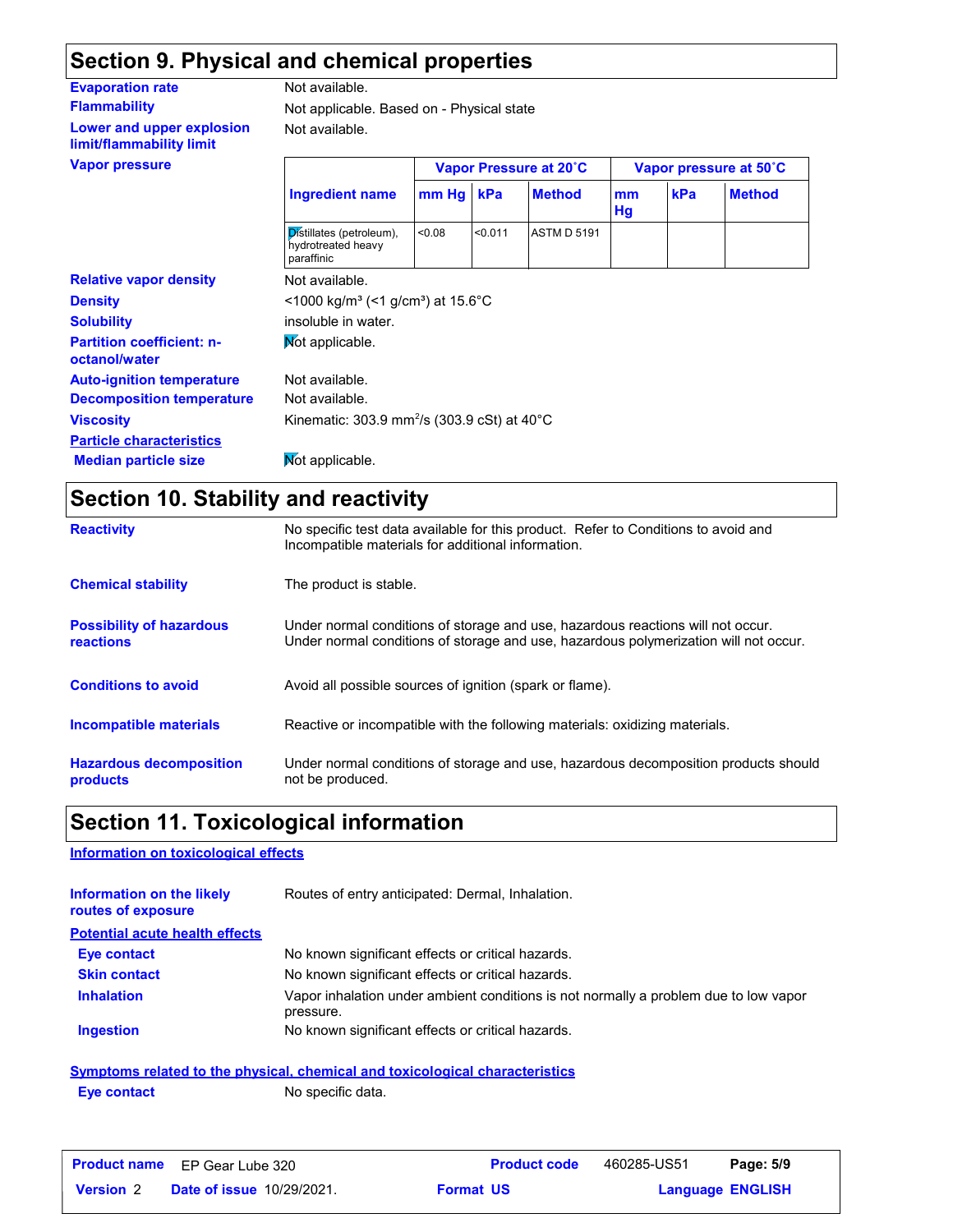### **Section 9. Physical and chemical properties**

| <b>Evaporation rate</b>                               | Not available.                                                     |       |         |                        |          |     |                        |
|-------------------------------------------------------|--------------------------------------------------------------------|-------|---------|------------------------|----------|-----|------------------------|
| <b>Flammability</b>                                   | Not applicable. Based on - Physical state                          |       |         |                        |          |     |                        |
| Lower and upper explosion<br>limit/flammability limit | Not available.                                                     |       |         |                        |          |     |                        |
| <b>Vapor pressure</b>                                 |                                                                    |       |         | Vapor Pressure at 20°C |          |     | Vapor pressure at 50°C |
|                                                       | <b>Ingredient name</b>                                             | mm Hg | kPa     | <b>Method</b>          | mm<br>Hg | kPa | <b>Method</b>          |
|                                                       | Distillates (petroleum),<br>hydrotreated heavy<br>paraffinic       | <0.08 | < 0.011 | <b>ASTM D 5191</b>     |          |     |                        |
| <b>Relative vapor density</b>                         | Not available.                                                     |       |         |                        |          |     |                        |
| <b>Density</b>                                        | <1000 kg/m <sup>3</sup> (<1 g/cm <sup>3</sup> ) at 15.6°C          |       |         |                        |          |     |                        |
| <b>Solubility</b>                                     | insoluble in water.                                                |       |         |                        |          |     |                        |
| <b>Partition coefficient: n-</b><br>octanol/water     | Not applicable.                                                    |       |         |                        |          |     |                        |
| <b>Auto-ignition temperature</b>                      | Not available.                                                     |       |         |                        |          |     |                        |
| <b>Decomposition temperature</b>                      | Not available.                                                     |       |         |                        |          |     |                        |
| <b>Viscosity</b>                                      | Kinematic: 303.9 mm <sup>2</sup> /s (303.9 cSt) at 40 $^{\circ}$ C |       |         |                        |          |     |                        |
| <b>Particle characteristics</b>                       |                                                                    |       |         |                        |          |     |                        |
| <b>Median particle size</b>                           | Mot applicable.                                                    |       |         |                        |          |     |                        |

### **Section 10. Stability and reactivity**

| <b>Reactivity</b>                                   | No specific test data available for this product. Refer to Conditions to avoid and<br>Incompatible materials for additional information.                                |
|-----------------------------------------------------|-------------------------------------------------------------------------------------------------------------------------------------------------------------------------|
| <b>Chemical stability</b>                           | The product is stable.                                                                                                                                                  |
| <b>Possibility of hazardous</b><br><b>reactions</b> | Under normal conditions of storage and use, hazardous reactions will not occur.<br>Under normal conditions of storage and use, hazardous polymerization will not occur. |
| <b>Conditions to avoid</b>                          | Avoid all possible sources of ignition (spark or flame).                                                                                                                |
| Incompatible materials                              | Reactive or incompatible with the following materials: oxidizing materials.                                                                                             |
| <b>Hazardous decomposition</b><br>products          | Under normal conditions of storage and use, hazardous decomposition products should<br>not be produced.                                                                 |

## **Section 11. Toxicological information**

#### **Information on toxicological effects**

| <b>Information on the likely</b><br>routes of exposure | Routes of entry anticipated: Dermal, Inhalation.                                                  |
|--------------------------------------------------------|---------------------------------------------------------------------------------------------------|
| <b>Potential acute health effects</b>                  |                                                                                                   |
| <b>Eye contact</b>                                     | No known significant effects or critical hazards.                                                 |
| <b>Skin contact</b>                                    | No known significant effects or critical hazards.                                                 |
| <b>Inhalation</b>                                      | Vapor inhalation under ambient conditions is not normally a problem due to low vapor<br>pressure. |
| <b>Ingestion</b>                                       | No known significant effects or critical hazards.                                                 |
|                                                        |                                                                                                   |

### **Symptoms related to the physical, chemical and toxicological characteristics Eye contact** No specific data.

|                  | <b>Product name</b> EP Gear Lube 320 | <b>Product code</b> | 460285-US51 | Page: 5/9               |
|------------------|--------------------------------------|---------------------|-------------|-------------------------|
| <b>Version 2</b> | <b>Date of issue 10/29/2021.</b>     | <b>Format US</b>    |             | <b>Language ENGLISH</b> |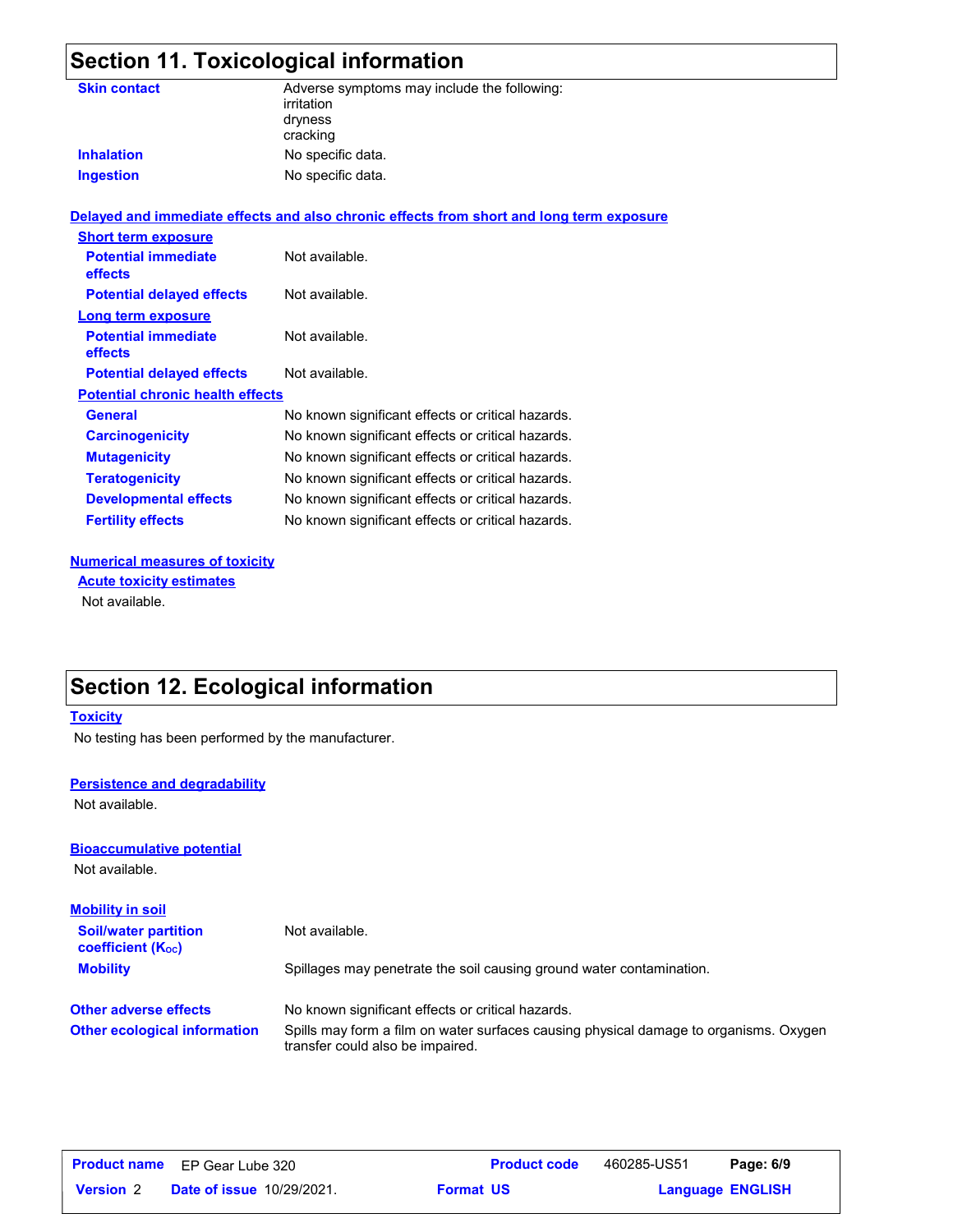## **Section 11. Toxicological information**

| <b>Skin contact</b>                     | Adverse symptoms may include the following:<br>irritation<br>dryness<br>cracking         |
|-----------------------------------------|------------------------------------------------------------------------------------------|
| <b>Inhalation</b>                       | No specific data.                                                                        |
| <b>Ingestion</b>                        | No specific data.                                                                        |
|                                         | Delayed and immediate effects and also chronic effects from short and long term exposure |
| <b>Short term exposure</b>              |                                                                                          |
| <b>Potential immediate</b><br>effects   | Not available.                                                                           |
| <b>Potential delayed effects</b>        | Not available.                                                                           |
| <b>Long term exposure</b>               |                                                                                          |
| <b>Potential immediate</b><br>effects   | Not available.                                                                           |
| <b>Potential delayed effects</b>        | Not available.                                                                           |
| <b>Potential chronic health effects</b> |                                                                                          |
| <b>General</b>                          | No known significant effects or critical hazards.                                        |
| <b>Carcinogenicity</b>                  | No known significant effects or critical hazards.                                        |
| <b>Mutagenicity</b>                     | No known significant effects or critical hazards.                                        |
| <b>Teratogenicity</b>                   | No known significant effects or critical hazards.                                        |
| <b>Developmental effects</b>            | No known significant effects or critical hazards.                                        |
| <b>Fertility effects</b>                | No known significant effects or critical hazards.                                        |
|                                         |                                                                                          |

#### **Numerical measures of toxicity**

Not available. **Acute toxicity estimates**

### **Section 12. Ecological information**

#### **Toxicity**

No testing has been performed by the manufacturer.

#### **Persistence and degradability**

Not available.

#### **Bioaccumulative potential**

Not available.

| <b>Mobility in soil</b>                                 |                                                                                                                           |
|---------------------------------------------------------|---------------------------------------------------------------------------------------------------------------------------|
| <b>Soil/water partition</b><br><b>coefficient (Koc)</b> | Not available.                                                                                                            |
| <b>Mobility</b>                                         | Spillages may penetrate the soil causing ground water contamination.                                                      |
| <b>Other adverse effects</b>                            | No known significant effects or critical hazards.                                                                         |
| <b>Other ecological information</b>                     | Spills may form a film on water surfaces causing physical damage to organisms. Oxygen<br>transfer could also be impaired. |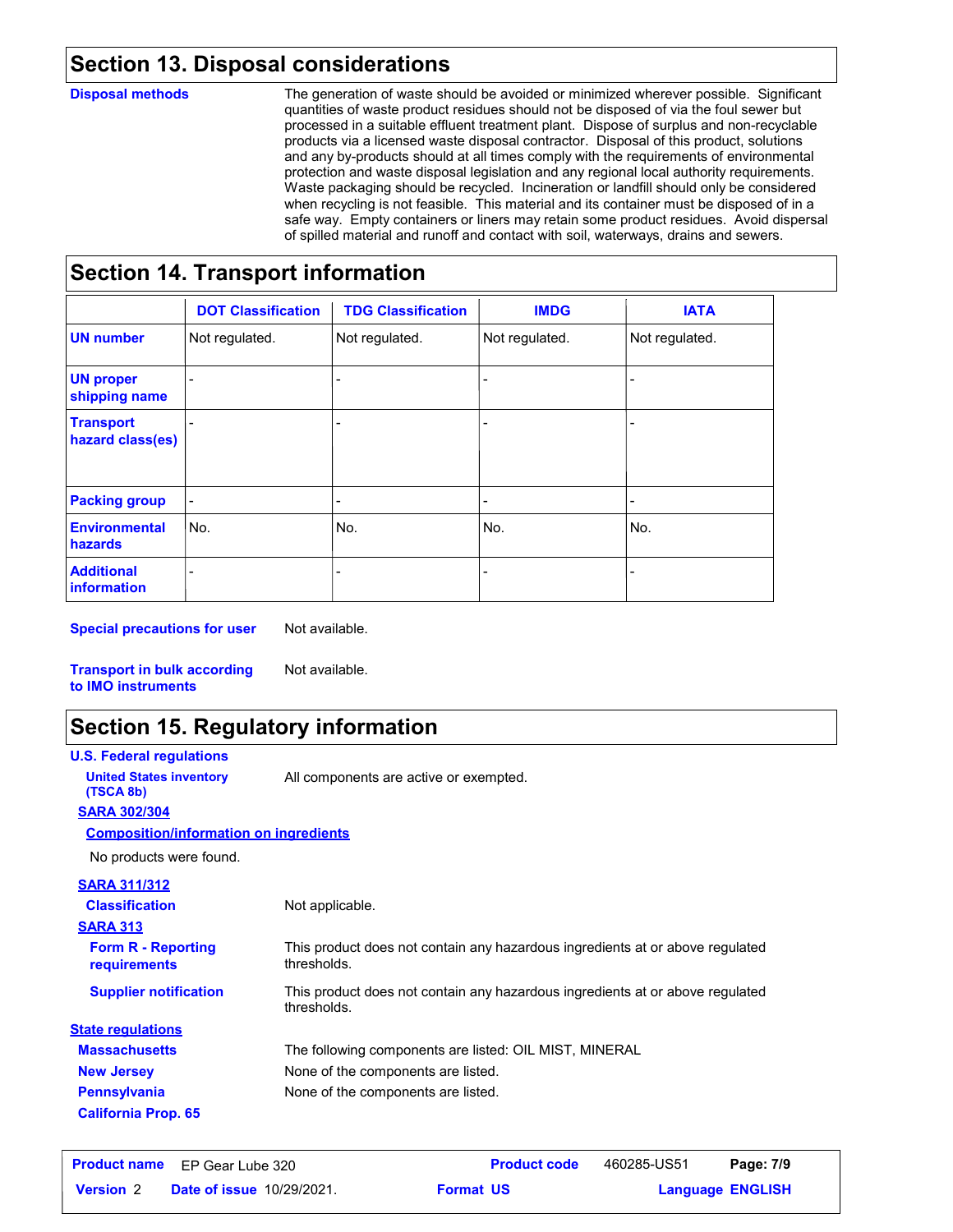### **Section 13. Disposal considerations**

#### **Disposal methods**

The generation of waste should be avoided or minimized wherever possible. Significant quantities of waste product residues should not be disposed of via the foul sewer but processed in a suitable effluent treatment plant. Dispose of surplus and non-recyclable products via a licensed waste disposal contractor. Disposal of this product, solutions and any by-products should at all times comply with the requirements of environmental protection and waste disposal legislation and any regional local authority requirements. Waste packaging should be recycled. Incineration or landfill should only be considered when recycling is not feasible. This material and its container must be disposed of in a safe way. Empty containers or liners may retain some product residues. Avoid dispersal of spilled material and runoff and contact with soil, waterways, drains and sewers.

### **Section 14. Transport information**

|                                         | <b>DOT Classification</b> | <b>TDG Classification</b> | <b>IMDG</b>              | <b>IATA</b>    |
|-----------------------------------------|---------------------------|---------------------------|--------------------------|----------------|
| <b>UN number</b>                        | Not regulated.            | Not regulated.            | Not regulated.           | Not regulated. |
| <b>UN proper</b><br>shipping name       |                           |                           |                          |                |
| <b>Transport</b><br>hazard class(es)    |                           |                           |                          |                |
| <b>Packing group</b>                    |                           | $\overline{a}$            | $\overline{\phantom{0}}$ |                |
| <b>Environmental</b><br>hazards         | No.                       | No.                       | No.                      | No.            |
| <b>Additional</b><br><b>information</b> |                           |                           | $\overline{\phantom{0}}$ |                |

**Special precautions for user** Not available.

**Transport in bulk according to IMO instruments**

### **Section 15. Regulatory information**

Not available.

| <b>U.S. Federal regulations</b>               |                                                                                              |
|-----------------------------------------------|----------------------------------------------------------------------------------------------|
| <b>United States inventory</b><br>(TSCA 8b)   | All components are active or exempted.                                                       |
| <b>SARA 302/304</b>                           |                                                                                              |
| <b>Composition/information on ingredients</b> |                                                                                              |
| No products were found.                       |                                                                                              |
| <b>SARA 311/312</b>                           |                                                                                              |
| <b>Classification</b>                         | Not applicable.                                                                              |
| <b>SARA 313</b>                               |                                                                                              |
| <b>Form R - Reporting</b><br>requirements     | This product does not contain any hazardous ingredients at or above regulated<br>thresholds. |
| <b>Supplier notification</b>                  | This product does not contain any hazardous ingredients at or above regulated<br>thresholds. |
| <b>State regulations</b>                      |                                                                                              |
| <b>Massachusetts</b>                          | The following components are listed: OIL MIST, MINERAL                                       |
| <b>New Jersey</b>                             | None of the components are listed.                                                           |
| <b>Pennsylvania</b>                           | None of the components are listed.                                                           |
| <b>California Prop. 65</b>                    |                                                                                              |

|                  | <b>Product name</b> EP Gear Lube 320 | <b>Product code</b> | 460285-US51 | Page: 7/9               |  |
|------------------|--------------------------------------|---------------------|-------------|-------------------------|--|
| <b>Version 2</b> | <b>Date of issue 10/29/2021.</b>     | <b>Format US</b>    |             | <b>Language ENGLISH</b> |  |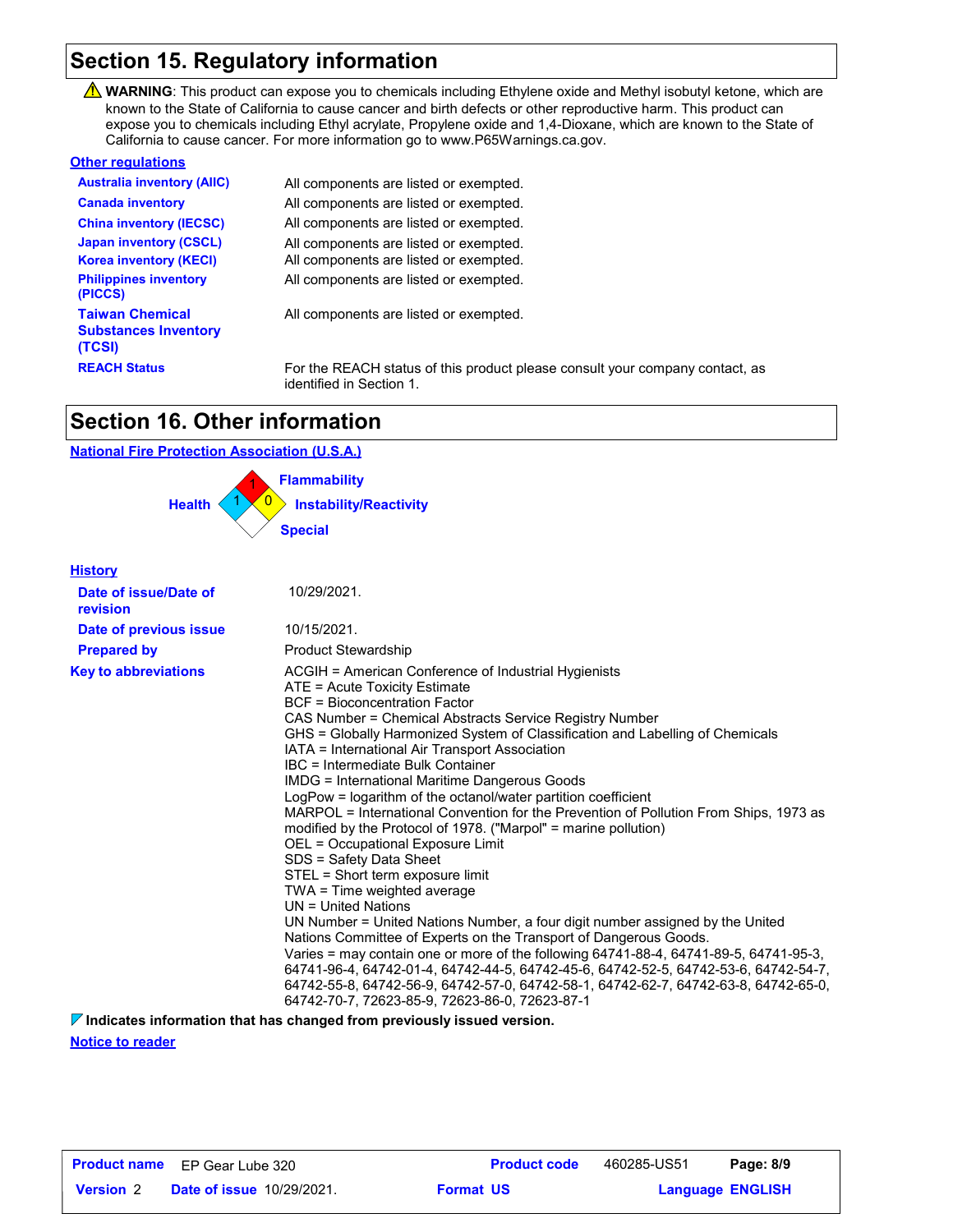### **Section 15. Regulatory information**

WARNING: This product can expose you to chemicals including Ethylene oxide and Methyl isobutyl ketone, which are known to the State of California to cause cancer and birth defects or other reproductive harm. This product can expose you to chemicals including Ethyl acrylate, Propylene oxide and 1,4-Dioxane, which are known to the State of California to cause cancer. For more information go to www.P65Warnings.ca.gov.

#### **Other regulations**

| <b>Australia inventory (AIIC)</b>                               | All components are listed or exempted.                                                                   |
|-----------------------------------------------------------------|----------------------------------------------------------------------------------------------------------|
| <b>Canada inventory</b>                                         | All components are listed or exempted.                                                                   |
| <b>China inventory (IECSC)</b>                                  | All components are listed or exempted.                                                                   |
| <b>Japan inventory (CSCL)</b>                                   | All components are listed or exempted.                                                                   |
| <b>Korea inventory (KECI)</b>                                   | All components are listed or exempted.                                                                   |
| <b>Philippines inventory</b><br>(PICCS)                         | All components are listed or exempted.                                                                   |
| <b>Taiwan Chemical</b><br><b>Substances Inventory</b><br>(TCSI) | All components are listed or exempted.                                                                   |
| <b>REACH Status</b>                                             | For the REACH status of this product please consult your company contact, as<br>identified in Section 1. |

### **Section 16. Other information**

#### **National Fire Protection Association (U.S.A.)**



#### **History**

| Date of issue/Date of<br>revision | 10/29/2021.                                                                                                                                                                                                                                                                                                                                                                                                                                                                                                                                                                                                                                                                                                                                                                                                                                                                                                                                                                                                                                                                                                                                                                                                                                                                                 |
|-----------------------------------|---------------------------------------------------------------------------------------------------------------------------------------------------------------------------------------------------------------------------------------------------------------------------------------------------------------------------------------------------------------------------------------------------------------------------------------------------------------------------------------------------------------------------------------------------------------------------------------------------------------------------------------------------------------------------------------------------------------------------------------------------------------------------------------------------------------------------------------------------------------------------------------------------------------------------------------------------------------------------------------------------------------------------------------------------------------------------------------------------------------------------------------------------------------------------------------------------------------------------------------------------------------------------------------------|
| Date of previous issue            | 10/15/2021.                                                                                                                                                                                                                                                                                                                                                                                                                                                                                                                                                                                                                                                                                                                                                                                                                                                                                                                                                                                                                                                                                                                                                                                                                                                                                 |
| <b>Prepared by</b>                | <b>Product Stewardship</b>                                                                                                                                                                                                                                                                                                                                                                                                                                                                                                                                                                                                                                                                                                                                                                                                                                                                                                                                                                                                                                                                                                                                                                                                                                                                  |
| <b>Key to abbreviations</b>       | ACGIH = American Conference of Industrial Hygienists<br>ATE = Acute Toxicity Estimate<br>BCF = Bioconcentration Factor<br>CAS Number = Chemical Abstracts Service Registry Number<br>GHS = Globally Harmonized System of Classification and Labelling of Chemicals<br>IATA = International Air Transport Association<br>IBC = Intermediate Bulk Container<br>IMDG = International Maritime Dangerous Goods<br>LogPow = logarithm of the octanol/water partition coefficient<br>MARPOL = International Convention for the Prevention of Pollution From Ships, 1973 as<br>modified by the Protocol of 1978. ("Marpol" = marine pollution)<br>OEL = Occupational Exposure Limit<br>SDS = Safety Data Sheet<br>STEL = Short term exposure limit<br>TWA = Time weighted average<br>$UN = United Nations$<br>UN Number = United Nations Number, a four digit number assigned by the United<br>Nations Committee of Experts on the Transport of Dangerous Goods.<br>Varies = may contain one or more of the following $64741-88-4$ , $64741-89-5$ , $64741-95-3$ ,<br>64741-96-4, 64742-01-4, 64742-44-5, 64742-45-6, 64742-52-5, 64742-53-6, 64742-54-7,<br>64742-55-8, 64742-56-9, 64742-57-0, 64742-58-1, 64742-62-7, 64742-63-8, 64742-65-0,<br>64742-70-7, 72623-85-9, 72623-86-0, 72623-87-1 |

**Indicates information that has changed from previously issued version.**

**Notice to reader**

|                  | <b>Product name</b> EP Gear Lube 320 | <b>Product code</b> | 460285-US51 | Page: 8/9               |  |
|------------------|--------------------------------------|---------------------|-------------|-------------------------|--|
| <b>Version</b> 2 | <b>Date of issue 10/29/2021.</b>     | <b>Format US</b>    |             | <b>Language ENGLISH</b> |  |